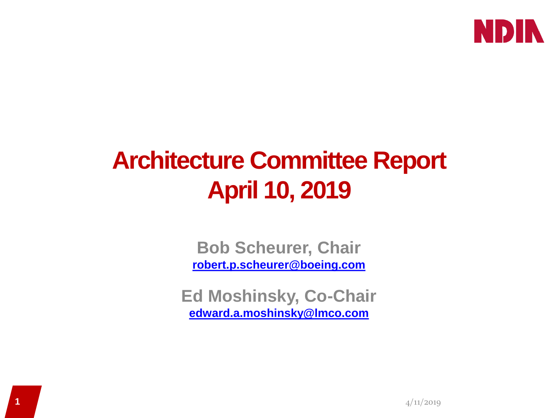

# **Architecture Committee Report April 10, 2019**

**Bob Scheurer, Chair [robert.p.scheurer@boeing.com](mailto:robert.p.scheurer@boeing.com)**

**Ed Moshinsky, Co-Chair [edward.a.moshinsky@lmco.com](mailto:edward.a.moshinsky@lmco.com)**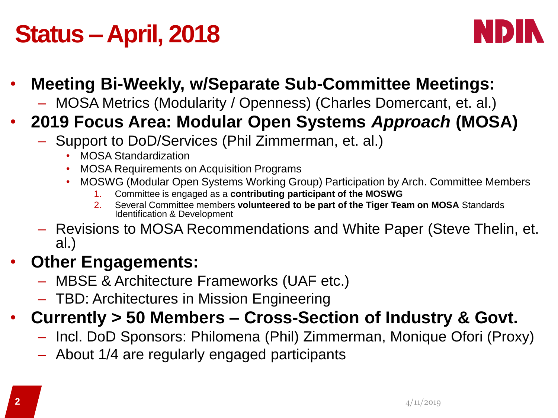# **Status –April, 2018**



#### • **Meeting Bi-Weekly, w/Separate Sub-Committee Meetings:**

– MOSA Metrics (Modularity / Openness) (Charles Domercant, et. al.)

#### • **2019 Focus Area: Modular Open Systems** *Approach* **(MOSA)**

- Support to DoD/Services (Phil Zimmerman, et. al.)
	- MOSA Standardization
	- MOSA Requirements on Acquisition Programs
	- MOSWG (Modular Open Systems Working Group) Participation by Arch. Committee Members
		- 1. Committee is engaged as a **contributing participant of the MOSWG**
		- 2. Several Committee members **volunteered to be part of the Tiger Team on MOSA** Standards Identification & Development
- Revisions to MOSA Recommendations and White Paper (Steve Thelin, et. al.)

#### • **Other Engagements:**

- MBSE & Architecture Frameworks (UAF etc.)
- TBD: Architectures in Mission Engineering

### • **Currently > 50 Members – Cross-Section of Industry & Govt.**

- Incl. DoD Sponsors: Philomena (Phil) Zimmerman, Monique Ofori (Proxy)
- About 1/4 are regularly engaged participants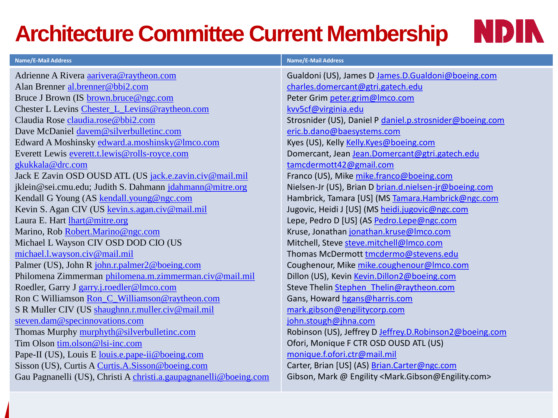### **Architecture Committee Current Membership**



| <b>Name/E-Mail Address</b>                                        | <b>Name/E-Mail Address</b>                                                    |
|-------------------------------------------------------------------|-------------------------------------------------------------------------------|
| Adrienne A Rivera aarivera@raytheon.com                           | Gualdoni (US), James D James.D.Gualdoni@boeing.com                            |
| Alan Brenner al.brenner@bbi2.com                                  | charles.domercant@gtri.gatech.edu                                             |
| Bruce J Brown (IS brown.bruce@ngc.com                             | Peter Grim peter.grim@Imco.com                                                |
| Chester L Levins Chester_L_Levins@raytheon.com                    | kvv5cf@virginia.edu                                                           |
| Claudia Rose claudia.rose@bbi2.com                                | Strosnider (US), Daniel P daniel.p.strosnider@boeing.com                      |
| Dave McDaniel davem@silverbulletinc.com                           | eric.b.dano@baesystems.com                                                    |
| Edward A Moshinsky edward.a.moshinsky@lmco.com                    | Kyes (US), Kelly Kelly.Kyes@boeing.com                                        |
| Everett Lewis everett.t.lewis@rolls-royce.com                     | Domercant, Jean Jean.Domercant@gtri.gatech.edu                                |
| gkukkala@drc.com                                                  | tamcdermott42@gmail.com                                                       |
| Jack E Zavin OSD OUSD ATL (US jack.e.zavin.civ@mail.mil           | Franco (US), Mike mike.franco@boeing.com                                      |
| jklein@sei.cmu.edu; Judith S. Dahmann jdahmann@mitre.org          | Nielsen-Jr (US), Brian D brian.d.nielsen-jr@boeing.com                        |
| Kendall G Young (AS kendall.young@ngc.com                         | Hambrick, Tamara [US] (MS Tamara.Hambrick@ngc.com                             |
| Kevin S. Agan CIV (US kevin.s.agan.civ@mail.mil                   | Jugovic, Heidi J [US] (MS heidi.jugovic@ngc.com                               |
| Laura E. Hart <i>lhart@mitre.org</i>                              | Lepe, Pedro D [US] (AS Pedro.Lepe@ngc.com                                     |
| Marino, Rob Robert.Marino@ngc.com                                 | Kruse, Jonathan jonathan.kruse@Imco.com                                       |
| Michael L Wayson CIV OSD DOD CIO (US                              | Mitchell, Steve steve.mitchell@Imco.com                                       |
| michael.l.wayson.civ@mail.mil                                     | Thomas McDermott tmcdermo@stevens.edu                                         |
| Palmer (US), John R john.r.palmer2@boeing.com                     | Coughenour, Mike mike.coughenour@Imco.com                                     |
| Philomena Zimmerman philomena.m.zimmerman.civ@mail.mil            | Dillon (US), Kevin Kevin.Dillon2@boeing.com                                   |
| Roedler, Garry J garry.j.roedler@lmco.com                         | Steve Thelin Stephen Thelin@raytheon.com                                      |
| Ron C Williamson Ron_C_Williamson@raytheon.com                    | Gans, Howard hgans@harris.com                                                 |
| S R Muller CIV (US shaughnn.r.muller.civ@mail.mil                 | mark.gibson@engilitycorp.com                                                  |
| steven.dam@specinnovations.com                                    | john.stough@jhna.com                                                          |
| Thomas Murphy murphyth@silverbulletinc.com                        | Robinson (US), Jeffrey D Jeffrey.D.Robinson2@boeing.com                       |
| Tim Olson tim.olson@lsi-inc.com                                   | Ofori, Monique F CTR OSD OUSD ATL (US)                                        |
| Pape-II (US), Louis E louis.e.pape-ii@boeing.com                  | monique.f.ofori.ctr@mail.mil                                                  |
| Sisson (US), Curtis A Curtis.A.Sisson@boeing.com                  | Carter, Brian [US] (AS) Brian.Carter@ngc.com                                  |
| Gau Pagnanelli (US), Christi A christi.a.gaupagnanelli@boeing.com | Gibson, Mark @ Engility <mark.gibson@engility.com></mark.gibson@engility.com> |